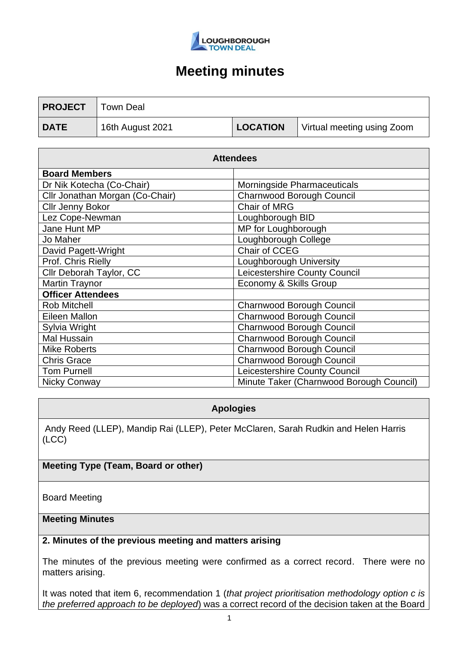

| <b>PROJECT</b> | Town Deal        |                 |                            |
|----------------|------------------|-----------------|----------------------------|
| <b>DATE</b>    | 16th August 2021 | <b>LOCATION</b> | Virtual meeting using Zoom |

| <b>Attendees</b>                |                                          |  |  |
|---------------------------------|------------------------------------------|--|--|
| <b>Board Members</b>            |                                          |  |  |
| Dr Nik Kotecha (Co-Chair)       | Morningside Pharmaceuticals              |  |  |
| Cllr Jonathan Morgan (Co-Chair) | Charnwood Borough Council                |  |  |
| <b>Cllr Jenny Bokor</b>         | Chair of MRG                             |  |  |
| Lez Cope-Newman                 | Loughborough BID                         |  |  |
| Jane Hunt MP                    | MP for Loughborough                      |  |  |
| Jo Maher                        | Loughborough College                     |  |  |
| David Pagett-Wright             | Chair of CCEG                            |  |  |
| Prof. Chris Rielly              | Loughborough University                  |  |  |
| Cllr Deborah Taylor, CC         | Leicestershire County Council            |  |  |
| <b>Martin Traynor</b>           | Economy & Skills Group                   |  |  |
| <b>Officer Attendees</b>        |                                          |  |  |
| <b>Rob Mitchell</b>             | Charnwood Borough Council                |  |  |
| Eileen Mallon                   | <b>Charnwood Borough Council</b>         |  |  |
| Sylvia Wright                   | <b>Charnwood Borough Council</b>         |  |  |
| <b>Mal Hussain</b>              | Charnwood Borough Council                |  |  |
| Mike Roberts                    | <b>Charnwood Borough Council</b>         |  |  |
| <b>Chris Grace</b>              | Charnwood Borough Council                |  |  |
| <b>Tom Purnell</b>              | Leicestershire County Council            |  |  |
| <b>Nicky Conway</b>             | Minute Taker (Charnwood Borough Council) |  |  |

## **Apologies**

Andy Reed (LLEP), Mandip Rai (LLEP), Peter McClaren, Sarah Rudkin and Helen Harris (LCC)

# **Meeting Type (Team, Board or other)**

Board Meeting

### **Meeting Minutes**

### **2. Minutes of the previous meeting and matters arising**

The minutes of the previous meeting were confirmed as a correct record. There were no matters arising.

It was noted that item 6, recommendation 1 (*that project prioritisation methodology option c is the preferred approach to be deployed*) was a correct record of the decision taken at the Board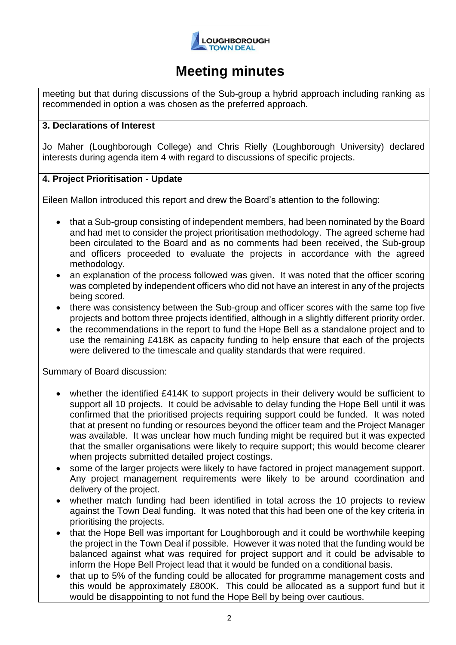

meeting but that during discussions of the Sub-group a hybrid approach including ranking as recommended in option a was chosen as the preferred approach.

### **3. Declarations of Interest**

Jo Maher (Loughborough College) and Chris Rielly (Loughborough University) declared interests during agenda item 4 with regard to discussions of specific projects.

### **4. Project Prioritisation - Update**

Eileen Mallon introduced this report and drew the Board's attention to the following:

- that a Sub-group consisting of independent members, had been nominated by the Board and had met to consider the project prioritisation methodology. The agreed scheme had been circulated to the Board and as no comments had been received, the Sub-group and officers proceeded to evaluate the projects in accordance with the agreed methodology.
- an explanation of the process followed was given. It was noted that the officer scoring was completed by independent officers who did not have an interest in any of the projects being scored.
- there was consistency between the Sub-group and officer scores with the same top five projects and bottom three projects identified, although in a slightly different priority order.
- the recommendations in the report to fund the Hope Bell as a standalone project and to use the remaining £418K as capacity funding to help ensure that each of the projects were delivered to the timescale and quality standards that were required.

Summary of Board discussion:

- whether the identified £414K to support projects in their delivery would be sufficient to support all 10 projects. It could be advisable to delay funding the Hope Bell until it was confirmed that the prioritised projects requiring support could be funded. It was noted that at present no funding or resources beyond the officer team and the Project Manager was available. It was unclear how much funding might be required but it was expected that the smaller organisations were likely to require support; this would become clearer when projects submitted detailed project costings.
- some of the larger projects were likely to have factored in project management support. Any project management requirements were likely to be around coordination and delivery of the project.
- whether match funding had been identified in total across the 10 projects to review against the Town Deal funding. It was noted that this had been one of the key criteria in prioritising the projects.
- that the Hope Bell was important for Loughborough and it could be worthwhile keeping the project in the Town Deal if possible. However it was noted that the funding would be balanced against what was required for project support and it could be advisable to inform the Hope Bell Project lead that it would be funded on a conditional basis.
- that up to 5% of the funding could be allocated for programme management costs and this would be approximately £800K. This could be allocated as a support fund but it would be disappointing to not fund the Hope Bell by being over cautious.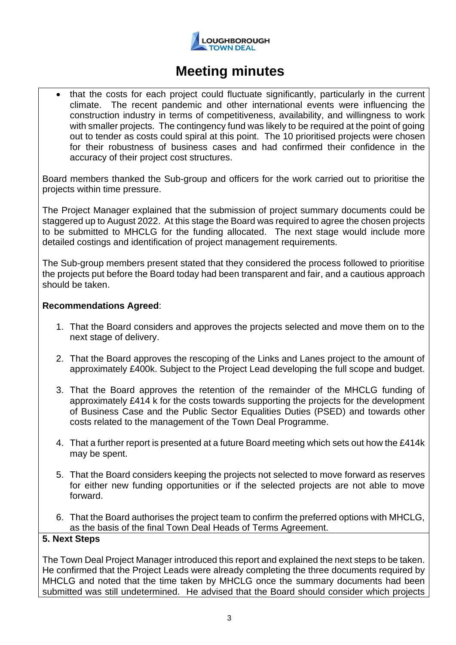

• that the costs for each project could fluctuate significantly, particularly in the current climate. The recent pandemic and other international events were influencing the construction industry in terms of competitiveness, availability, and willingness to work with smaller projects. The contingency fund was likely to be required at the point of going out to tender as costs could spiral at this point. The 10 prioritised projects were chosen for their robustness of business cases and had confirmed their confidence in the accuracy of their project cost structures.

Board members thanked the Sub-group and officers for the work carried out to prioritise the projects within time pressure.

The Project Manager explained that the submission of project summary documents could be staggered up to August 2022. At this stage the Board was required to agree the chosen projects to be submitted to MHCLG for the funding allocated. The next stage would include more detailed costings and identification of project management requirements.

The Sub-group members present stated that they considered the process followed to prioritise the projects put before the Board today had been transparent and fair, and a cautious approach should be taken.

### **Recommendations Agreed**:

- 1. That the Board considers and approves the projects selected and move them on to the next stage of delivery.
- 2. That the Board approves the rescoping of the Links and Lanes project to the amount of approximately £400k. Subject to the Project Lead developing the full scope and budget.
- 3. That the Board approves the retention of the remainder of the MHCLG funding of approximately £414 k for the costs towards supporting the projects for the development of Business Case and the Public Sector Equalities Duties (PSED) and towards other costs related to the management of the Town Deal Programme.
- 4. That a further report is presented at a future Board meeting which sets out how the £414k may be spent.
- 5. That the Board considers keeping the projects not selected to move forward as reserves for either new funding opportunities or if the selected projects are not able to move forward.
- 6. That the Board authorises the project team to confirm the preferred options with MHCLG, as the basis of the final Town Deal Heads of Terms Agreement.

### **5. Next Steps**

The Town Deal Project Manager introduced this report and explained the next steps to be taken. He confirmed that the Project Leads were already completing the three documents required by MHCLG and noted that the time taken by MHCLG once the summary documents had been submitted was still undetermined. He advised that the Board should consider which projects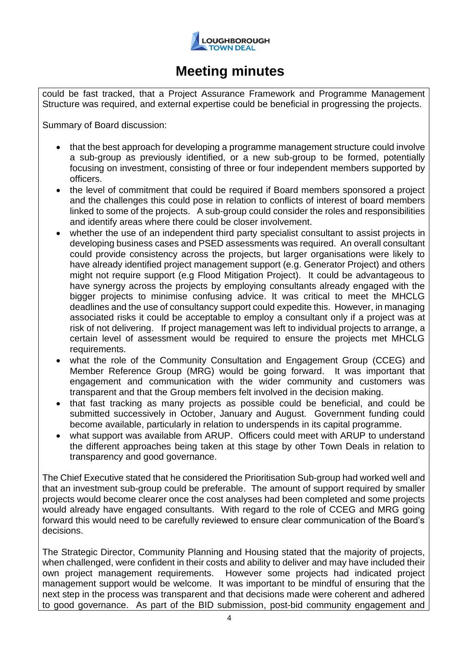

could be fast tracked, that a Project Assurance Framework and Programme Management Structure was required, and external expertise could be beneficial in progressing the projects.

Summary of Board discussion:

- that the best approach for developing a programme management structure could involve a sub-group as previously identified, or a new sub-group to be formed, potentially focusing on investment, consisting of three or four independent members supported by officers.
- the level of commitment that could be required if Board members sponsored a project and the challenges this could pose in relation to conflicts of interest of board members linked to some of the projects. A sub-group could consider the roles and responsibilities and identify areas where there could be closer involvement.
- whether the use of an independent third party specialist consultant to assist projects in developing business cases and PSED assessments was required. An overall consultant could provide consistency across the projects, but larger organisations were likely to have already identified project management support (e.g. Generator Project) and others might not require support (e.g Flood Mitigation Project). It could be advantageous to have synergy across the projects by employing consultants already engaged with the bigger projects to minimise confusing advice. It was critical to meet the MHCLG deadlines and the use of consultancy support could expedite this. However, in managing associated risks it could be acceptable to employ a consultant only if a project was at risk of not delivering. If project management was left to individual projects to arrange, a certain level of assessment would be required to ensure the projects met MHCLG requirements.
- what the role of the Community Consultation and Engagement Group (CCEG) and Member Reference Group (MRG) would be going forward. It was important that engagement and communication with the wider community and customers was transparent and that the Group members felt involved in the decision making.
- that fast tracking as many projects as possible could be beneficial, and could be submitted successively in October, January and August. Government funding could become available, particularly in relation to underspends in its capital programme.
- what support was available from ARUP. Officers could meet with ARUP to understand the different approaches being taken at this stage by other Town Deals in relation to transparency and good governance.

The Chief Executive stated that he considered the Prioritisation Sub-group had worked well and that an investment sub-group could be preferable. The amount of support required by smaller projects would become clearer once the cost analyses had been completed and some projects would already have engaged consultants. With regard to the role of CCEG and MRG going forward this would need to be carefully reviewed to ensure clear communication of the Board's decisions.

The Strategic Director, Community Planning and Housing stated that the majority of projects, when challenged, were confident in their costs and ability to deliver and may have included their own project management requirements. However some projects had indicated project management support would be welcome. It was important to be mindful of ensuring that the next step in the process was transparent and that decisions made were coherent and adhered to good governance. As part of the BID submission, post-bid community engagement and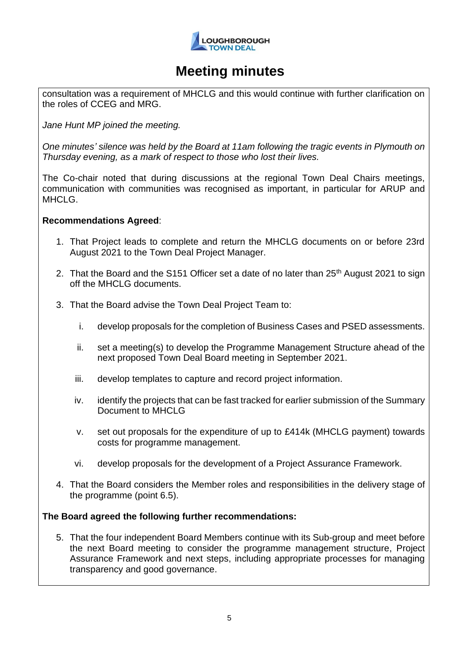

consultation was a requirement of MHCLG and this would continue with further clarification on the roles of CCEG and MRG.

*Jane Hunt MP joined the meeting.*

*One minutes' silence was held by the Board at 11am following the tragic events in Plymouth on Thursday evening, as a mark of respect to those who lost their lives.*

The Co-chair noted that during discussions at the regional Town Deal Chairs meetings, communication with communities was recognised as important, in particular for ARUP and MHCLG.

### **Recommendations Agreed**:

- 1. That Project leads to complete and return the MHCLG documents on or before 23rd August 2021 to the Town Deal Project Manager.
- 2. That the Board and the S151 Officer set a date of no later than  $25<sup>th</sup>$  August 2021 to sign off the MHCLG documents.
- 3. That the Board advise the Town Deal Project Team to:
	- i. develop proposals for the completion of Business Cases and PSED assessments.
	- ii. set a meeting(s) to develop the Programme Management Structure ahead of the next proposed Town Deal Board meeting in September 2021.
	- iii. develop templates to capture and record project information.
	- iv. identify the projects that can be fast tracked for earlier submission of the Summary Document to MHCLG
	- v. set out proposals for the expenditure of up to £414k (MHCLG payment) towards costs for programme management.
	- vi. develop proposals for the development of a Project Assurance Framework.
- 4. That the Board considers the Member roles and responsibilities in the delivery stage of the programme (point 6.5).

### **The Board agreed the following further recommendations:**

5. That the four independent Board Members continue with its Sub-group and meet before the next Board meeting to consider the programme management structure, Project Assurance Framework and next steps, including appropriate processes for managing transparency and good governance.